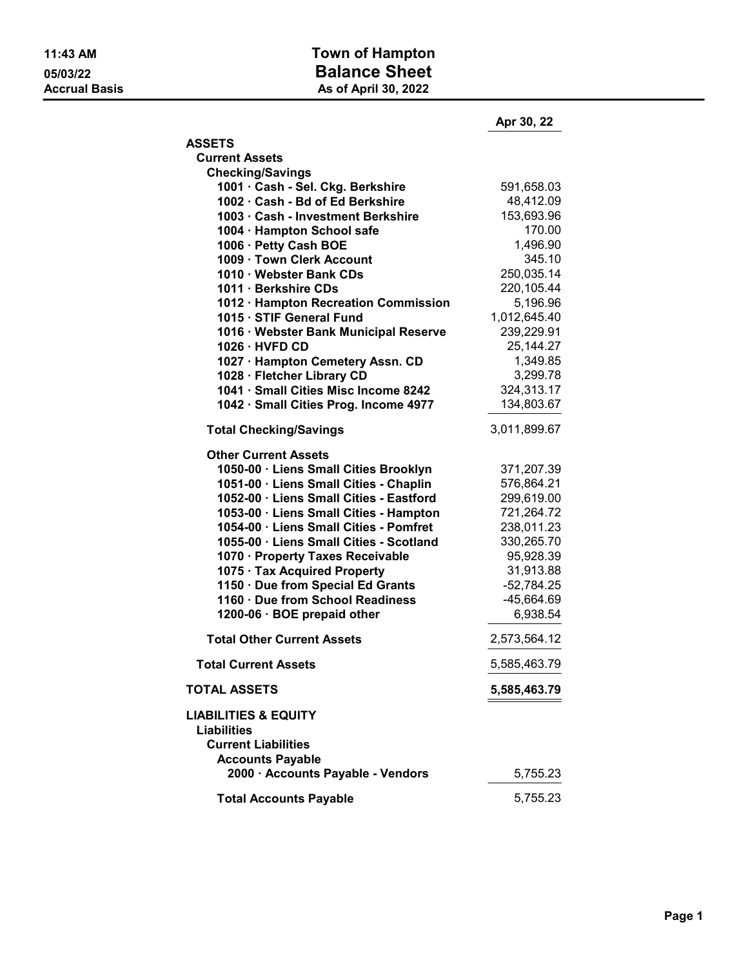## 11:43 AM **Town of Hampton** 05/03/22<br>
Accrual Basis<br>
Accrual Basis<br>
As of April 30, 2022 As of April 30, 2022

|                                                                                                                | Apr 30, 22   |
|----------------------------------------------------------------------------------------------------------------|--------------|
| <b>ASSETS</b>                                                                                                  |              |
| <b>Current Assets</b>                                                                                          |              |
| <b>Checking/Savings</b>                                                                                        |              |
| 1001 · Cash - Sel. Ckg. Berkshire                                                                              | 591,658.03   |
| 1002 · Cash - Bd of Ed Berkshire                                                                               | 48,412.09    |
| 1003 · Cash - Investment Berkshire                                                                             | 153,693.96   |
| 1004 · Hampton School safe                                                                                     | 170.00       |
| 1006 · Petty Cash BOE                                                                                          | 1,496.90     |
| 1009 · Town Clerk Account                                                                                      | 345.10       |
| 1010 · Webster Bank CDs                                                                                        | 250,035.14   |
| 1011 · Berkshire CDs                                                                                           | 220,105.44   |
| 1012 · Hampton Recreation Commission                                                                           | 5,196.96     |
| 1015 · STIF General Fund                                                                                       | 1,012,645.40 |
| 1016 · Webster Bank Municipal Reserve                                                                          | 239,229.91   |
| 1026 · HVFD CD                                                                                                 | 25,144.27    |
| 1027 · Hampton Cemetery Assn. CD                                                                               | 1,349.85     |
| 1028 · Fletcher Library CD                                                                                     | 3,299.78     |
| 1041 · Small Cities Misc Income 8242                                                                           | 324,313.17   |
| 1042 · Small Cities Prog. Income 4977                                                                          | 134,803.67   |
| <b>Total Checking/Savings</b>                                                                                  | 3,011,899.67 |
| <b>Other Current Assets</b>                                                                                    |              |
| 1050-00 · Liens Small Cities Brooklyn                                                                          | 371,207.39   |
| 1051-00 · Liens Small Cities - Chaplin                                                                         | 576,864.21   |
| 1052-00 · Liens Small Cities - Eastford                                                                        | 299,619.00   |
| 1053-00 · Liens Small Cities - Hampton                                                                         | 721,264.72   |
| 1054-00 · Liens Small Cities - Pomfret                                                                         | 238,011.23   |
| 1055-00 · Liens Small Cities - Scotland                                                                        | 330,265.70   |
| 1070 · Property Taxes Receivable                                                                               | 95,928.39    |
| 1075 · Tax Acquired Property                                                                                   | 31,913.88    |
| 1150 · Due from Special Ed Grants                                                                              | $-52,784.25$ |
| 1160 · Due from School Readiness                                                                               | $-45,664.69$ |
| 1200-06 · BOE prepaid other                                                                                    | 6,938.54     |
| <b>Total Other Current Assets</b>                                                                              | 2,573,564.12 |
| <b>Total Current Assets</b>                                                                                    | 5,585,463.79 |
| <b>TOTAL ASSETS</b>                                                                                            | 5,585,463.79 |
| <b>LIABILITIES &amp; EQUITY</b><br><b>Liabilities</b><br><b>Current Liabilities</b><br><b>Accounts Payable</b> |              |
| 2000 · Accounts Payable - Vendors                                                                              | 5,755.23     |
| <b>Total Accounts Payable</b>                                                                                  | 5,755.23     |